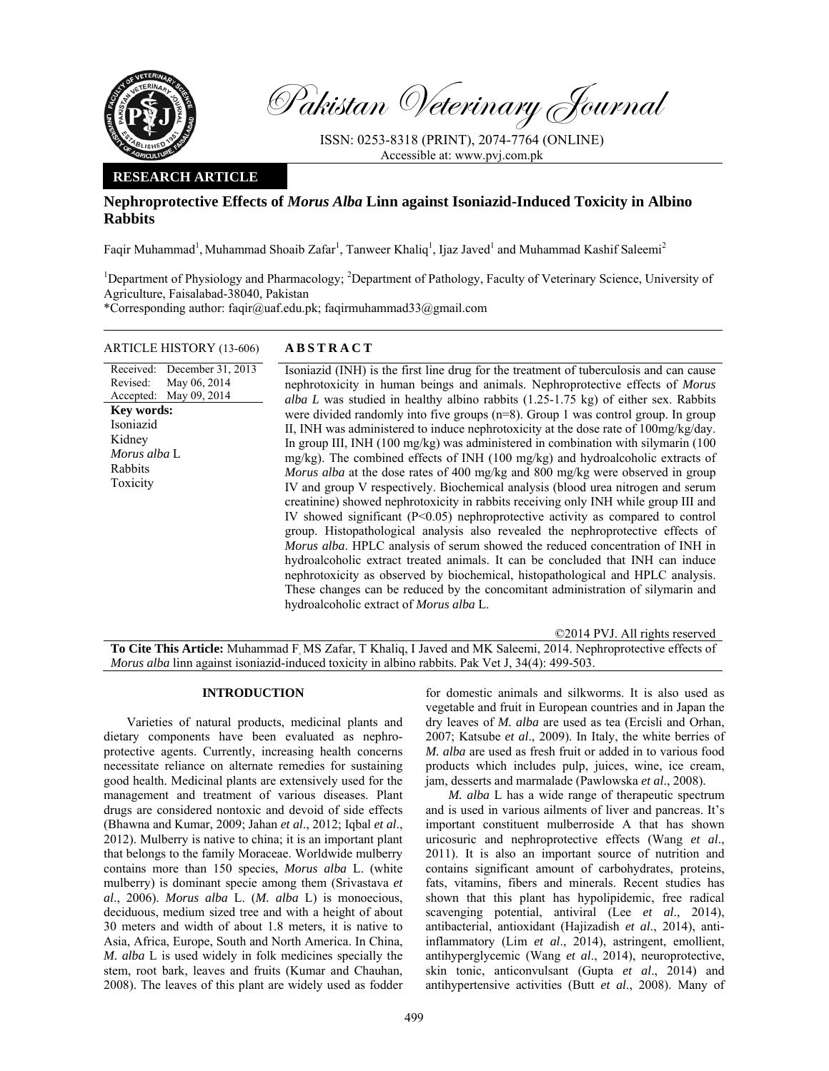

Pakistan Veterinary Journal

ISSN: 0253-8318 (PRINT), 2074-7764 (ONLINE) Accessible at: www.pvj.com.pk

## **RESEARCH ARTICLE**

# **Nephroprotective Effects of** *Morus Alba* **Linn against Isoniazid-Induced Toxicity in Albino Rabbits**

Faqir Muhammad<sup>1</sup>, Muhammad Shoaib Zafar<sup>1</sup>, Tanweer Khaliq<sup>1</sup>, Ijaz Javed<sup>1</sup> and Muhammad Kashif Saleemi<sup>2</sup>

<sup>1</sup>Department of Physiology and Pharmacology; <sup>2</sup>Department of Pathology, Faculty of Veterinary Science, University of Agriculture, Faisalabad-38040, Pakistan

\*Corresponding author: faqir@uaf.edu.pk; faqirmuhammad33@gmail.com

## ARTICLE HISTORY (13-606) **ABSTRACT**

Received: Revised: Accepted: December 31, 2013 May 06, 2014 May 09, 2014 **Key words:**  Isoniazid Kidney *Morus alba* L Rabbits Toxicity

 Isoniazid (INH) is the first line drug for the treatment of tuberculosis and can cause nephrotoxicity in human beings and animals. Nephroprotective effects of *Morus alba L* was studied in healthy albino rabbits (1.25-1.75 kg) of either sex. Rabbits were divided randomly into five groups (n=8). Group 1 was control group. In group II, INH was administered to induce nephrotoxicity at the dose rate of 100mg/kg/day. In group III, INH (100 mg/kg) was administered in combination with silymarin (100 mg/kg). The combined effects of INH (100 mg/kg) and hydroalcoholic extracts of *Morus alba* at the dose rates of 400 mg/kg and 800 mg/kg were observed in group IV and group V respectively. Biochemical analysis (blood urea nitrogen and serum creatinine) showed nephrotoxicity in rabbits receiving only INH while group III and IV showed significant (P<0.05) nephroprotective activity as compared to control group. Histopathological analysis also revealed the nephroprotective effects of *Morus alba*. HPLC analysis of serum showed the reduced concentration of INH in hydroalcoholic extract treated animals. It can be concluded that INH can induce nephrotoxicity as observed by biochemical, histopathological and HPLC analysis. These changes can be reduced by the concomitant administration of silymarin and hydroalcoholic extract of *Morus alba* L.

©2014 PVJ. All rights reserved **To Cite This Article:** Muhammad F, MS Zafar, T Khaliq, I Javed and MK Saleemi, 2014. Nephroprotective effects of *Morus alba* linn against isoniazid-induced toxicity in albino rabbits. Pak Vet J, 34(4): 499-503.

#### **INTRODUCTION**

Varieties of natural products, medicinal plants and dietary components have been evaluated as nephroprotective agents. Currently, increasing health concerns necessitate reliance on alternate remedies for sustaining good health. Medicinal plants are extensively used for the management and treatment of various diseases. Plant drugs are considered nontoxic and devoid of side effects (Bhawna and Kumar, 2009; Jahan *et al*., 2012; Iqbal *et al*., 2012). Mulberry is native to china; it is an important plant that belongs to the family Moraceae. Worldwide mulberry contains more than 150 species, *Morus alba* L. (white mulberry) is dominant specie among them (Srivastava *et al*., 2006). *Morus alba* L. (*M. alba* L) is monoecious, deciduous, medium sized tree and with a height of about 30 meters and width of about 1.8 meters, it is native to Asia, Africa, Europe, South and North America. In China, *M. alba* L is used widely in folk medicines specially the stem, root bark, leaves and fruits (Kumar and Chauhan, 2008). The leaves of this plant are widely used as fodder

for domestic animals and silkworms. It is also used as vegetable and fruit in European countries and in Japan the dry leaves of *M. alba* are used as tea (Ercisli and Orhan, 2007; Katsube *et al*., 2009). In Italy, the white berries of *M. alba* are used as fresh fruit or added in to various food products which includes pulp, juices, wine, ice cream, jam, desserts and marmalade (Pawlowska *et al*., 2008).

*M. alba* L has a wide range of therapeutic spectrum and is used in various ailments of liver and pancreas. It's important constituent mulberroside A that has shown uricosuric and nephroprotective effects (Wang *et al*., 2011). It is also an important source of nutrition and contains significant amount of carbohydrates, proteins, fats, vitamins, fibers and minerals. Recent studies has shown that this plant has hypolipidemic, free radical scavenging potential, antiviral (Lee *et al*., 2014), antibacterial, antioxidant (Hajizadish *et al*., 2014), antiinflammatory (Lim *et al*., 2014), astringent, emollient, antihyperglycemic (Wang *et al*., 2014), neuroprotective, skin tonic, anticonvulsant (Gupta *et al*., 2014) and antihypertensive activities (Butt *et al*., 2008). Many of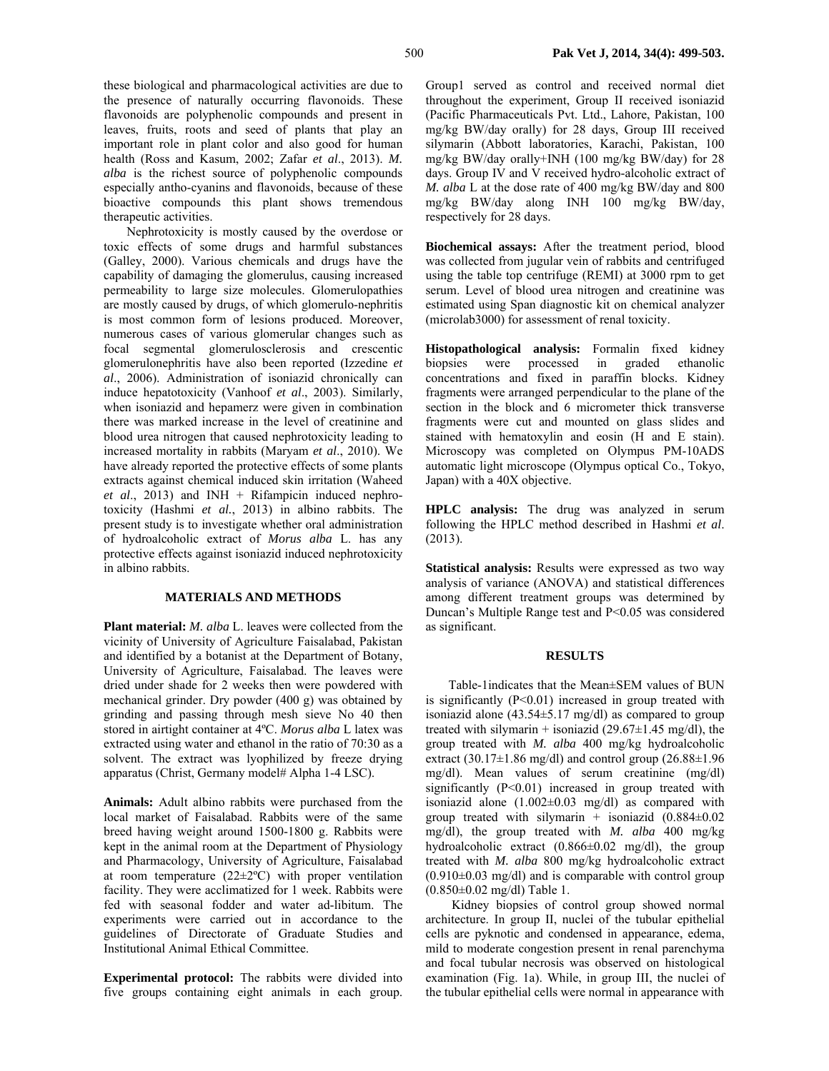these biological and pharmacological activities are due to the presence of naturally occurring flavonoids. These flavonoids are polyphenolic compounds and present in leaves, fruits, roots and seed of plants that play an important role in plant color and also good for human health (Ross and Kasum, 2002; Zafar *et al*., 2013). *M. alba* is the richest source of polyphenolic compounds especially antho-cyanins and flavonoids, because of these bioactive compounds this plant shows tremendous therapeutic activities.

Nephrotoxicity is mostly caused by the overdose or toxic effects of some drugs and harmful substances (Galley, 2000). Various chemicals and drugs have the capability of damaging the glomerulus, causing increased permeability to large size molecules. Glomerulopathies are mostly caused by drugs, of which glomerulo-nephritis is most common form of lesions produced. Moreover, numerous cases of various glomerular changes such as focal segmental glomerulosclerosis and crescentic glomerulonephritis have also been reported (Izzedine *et al*., 2006). Administration of isoniazid chronically can induce hepatotoxicity (Vanhoof *et al*., 2003). Similarly, when isoniazid and hepamerz were given in combination there was marked increase in the level of creatinine and blood urea nitrogen that caused nephrotoxicity leading to increased mortality in rabbits (Maryam *et al*., 2010). We have already reported the protective effects of some plants extracts against chemical induced skin irritation (Waheed *et al*., 2013) and INH + Rifampicin induced nephrotoxicity (Hashmi *et al.*, 2013) in albino rabbits. The present study is to investigate whether oral administration of hydroalcoholic extract of *Morus alba* L. has any protective effects against isoniazid induced nephrotoxicity in albino rabbits.

#### **MATERIALS AND METHODS**

**Plant material:** *M. alba* L. leaves were collected from the vicinity of University of Agriculture Faisalabad, Pakistan and identified by a botanist at the Department of Botany, University of Agriculture, Faisalabad. The leaves were dried under shade for 2 weeks then were powdered with mechanical grinder. Dry powder (400 g) was obtained by grinding and passing through mesh sieve No 40 then stored in airtight container at 4ºC. *Morus alba* L latex was extracted using water and ethanol in the ratio of 70:30 as a solvent. The extract was lyophilized by freeze drying apparatus (Christ, Germany model# Alpha 1-4 LSC).

**Animals:** Adult albino rabbits were purchased from the local market of Faisalabad. Rabbits were of the same breed having weight around 1500-1800 g. Rabbits were kept in the animal room at the Department of Physiology and Pharmacology, University of Agriculture, Faisalabad at room temperature  $(22 \pm 2^{\circ}C)$  with proper ventilation facility. They were acclimatized for 1 week. Rabbits were fed with seasonal fodder and water ad-libitum. The experiments were carried out in accordance to the guidelines of Directorate of Graduate Studies and Institutional Animal Ethical Committee.

**Experimental protocol:** The rabbits were divided into five groups containing eight animals in each group.

Group1 served as control and received normal diet throughout the experiment, Group II received isoniazid (Pacific Pharmaceuticals Pvt. Ltd., Lahore, Pakistan, 100 mg/kg BW/day orally) for 28 days, Group III received silymarin (Abbott laboratories, Karachi, Pakistan, 100 mg/kg BW/day orally+INH (100 mg/kg BW/day) for 28 days. Group IV and V received hydro-alcoholic extract of *M. alba* L at the dose rate of 400 mg/kg BW/day and 800 mg/kg BW/day along INH 100 mg/kg BW/day, respectively for 28 days.

**Biochemical assays:** After the treatment period, blood was collected from jugular vein of rabbits and centrifuged using the table top centrifuge (REMI) at 3000 rpm to get serum. Level of blood urea nitrogen and creatinine was estimated using Span diagnostic kit on chemical analyzer (microlab3000) for assessment of renal toxicity.

**Histopathological analysis:** Formalin fixed kidney biopsies were processed in graded ethanolic concentrations and fixed in paraffin blocks. Kidney fragments were arranged perpendicular to the plane of the section in the block and 6 micrometer thick transverse fragments were cut and mounted on glass slides and stained with hematoxylin and eosin (H and E stain). Microscopy was completed on Olympus PM-10ADS automatic light microscope (Olympus optical Co., Tokyo, Japan) with a 40X objective.

**HPLC analysis:** The drug was analyzed in serum following the HPLC method described in Hashmi *et al*. (2013).

**Statistical analysis:** Results were expressed as two way analysis of variance (ANOVA) and statistical differences among different treatment groups was determined by Duncan's Multiple Range test and P<0.05 was considered as significant.

#### **RESULTS**

Table-1indicates that the Mean±SEM values of BUN is significantly (P<0.01) increased in group treated with isoniazid alone  $(43.54 \pm 5.17 \text{ mg/dl})$  as compared to group treated with silymarin + isoniazid  $(29.67\pm1.45 \text{ mg/dl})$ , the group treated with *M. alba* 400 mg/kg hydroalcoholic extract (30.17 $\pm$ 1.86 mg/dl) and control group (26.88 $\pm$ 1.96 mg/dl). Mean values of serum creatinine (mg/dl) significantly (P<0.01) increased in group treated with isoniazid alone  $(1.002\pm0.03 \text{ mg/dl})$  as compared with group treated with silymarin + isoniazid  $(0.884 \pm 0.02)$ mg/dl), the group treated with *M. alba* 400 mg/kg hydroalcoholic extract  $(0.866\pm0.02 \text{ mg/dl})$ , the group treated with *M. alba* 800 mg/kg hydroalcoholic extract  $(0.910\pm0.03 \text{ mg/dl})$  and is comparable with control group (0.850±0.02 mg/dl) Table 1.

 Kidney biopsies of control group showed normal architecture. In group II, nuclei of the tubular epithelial cells are pyknotic and condensed in appearance, edema, mild to moderate congestion present in renal parenchyma and focal tubular necrosis was observed on histological examination (Fig. 1a). While, in group III, the nuclei of the tubular epithelial cells were normal in appearance with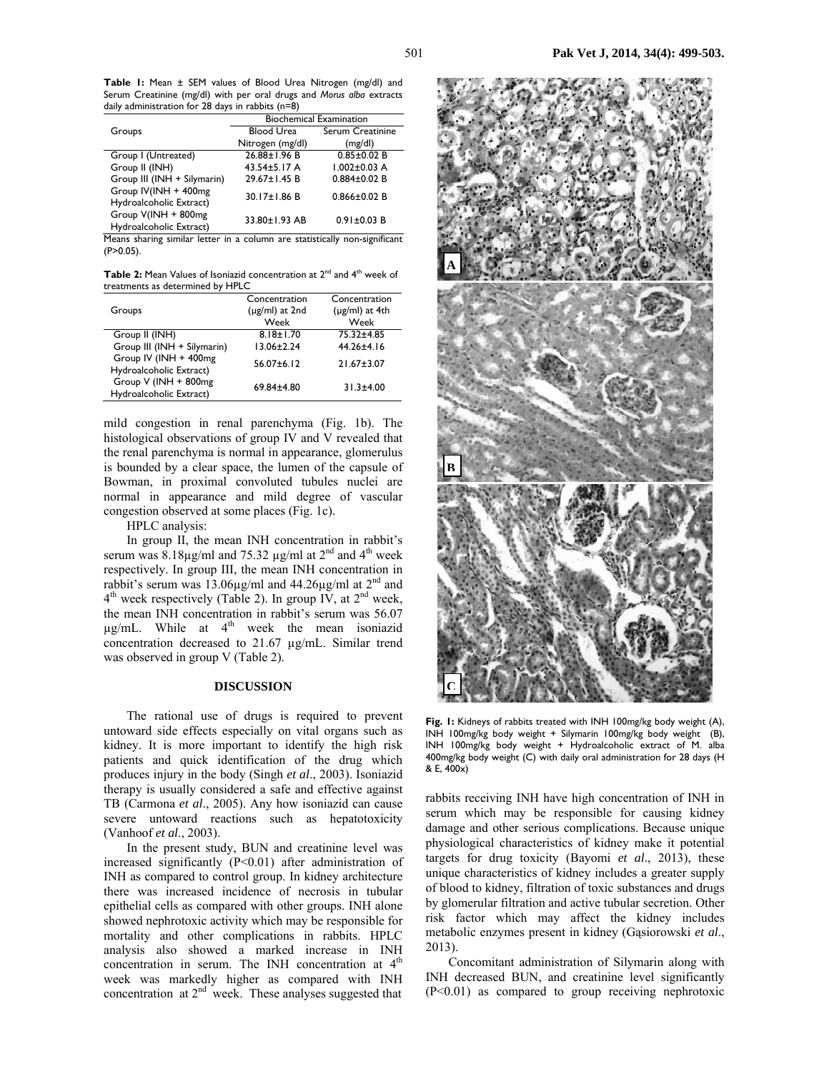**Table 1:** Mean ± SEM values of Blood Urea Nitrogen (mg/dl) and Serum Creatinine (mg/dl) with per oral drugs and *Morus alba* extracts daily administration for 28 days in rabbits (n=8)

|                                                 | <b>Biochemical Examination</b> |                    |
|-------------------------------------------------|--------------------------------|--------------------|
| Groups                                          | <b>Blood Urea</b>              | Serum Creatinine   |
|                                                 | Nitrogen (mg/dl)               | (mg/dl)            |
| Group I (Untreated)                             | $26.88 \pm 1.96 B$             | $0.85 \pm 0.02 B$  |
| Group II (INH)                                  | 43.54±5.17 A                   | $1.002 \pm 0.03$ A |
| Group III (INH + Silymarin)                     | 29.67±1.45 B                   | $0.884 \pm 0.02$ B |
| Group IV(INH + 400mg<br>Hydroalcoholic Extract) | 30.17±1.86 B                   | $0.866 \pm 0.02$ B |
| Group V(INH + 800mg<br>Hydroalcoholic Extract)  | 33.80±1.93 AB                  | $0.91 \pm 0.03 B$  |

Means sharing similar letter in a column are statistically non-significant (P>0.05).

Table 2: Mean Values of Isoniazid concentration at 2<sup>nd</sup> and 4<sup>th</sup> week of treatments as determined by HPLC

| Groups                                            | Concentration<br>$(\mu$ g/ml) at 2nd<br>Week | Concentration<br>$(\mu$ g/ml) at 4th<br>Week |
|---------------------------------------------------|----------------------------------------------|----------------------------------------------|
| Group II (INH)                                    | $8.18 \pm 1.70$                              | 75.32±4.85                                   |
| Group III (INH + Silymarin)                       | $13.06 \pm 2.24$                             | 44.26±4.16                                   |
| Group IV (INH + 400mg)<br>Hydroalcoholic Extract) | $56.07 \pm 6.12$                             | $21.67 \pm 3.07$                             |
| Group V (INH + 800mg<br>Hydroalcoholic Extract)   | $69.84 \pm 4.80$                             | $31.3 \pm 4.00$                              |

mild congestion in renal parenchyma (Fig. 1b). The histological observations of group IV and V revealed that the renal parenchyma is normal in appearance, glomerulus is bounded by a clear space, the lumen of the capsule of Bowman, in proximal convoluted tubules nuclei are normal in appearance and mild degree of vascular congestion observed at some places (Fig. 1c).

HPLC analysis:

In group II, the mean INH concentration in rabbit's serum was 8.18 $\mu$ g/ml and 75.32  $\mu$ g/ml at 2<sup>nd</sup> and 4<sup>th</sup> week respectively. In group III, the mean INH concentration in rabbit's serum was 13.06 $\mu$ g/ml and 44.26 $\mu$ g/ml at 2<sup>nd</sup> and 4th week respectively (Table 2). In group IV, at 2nd week, the mean INH concentration in rabbit's serum was 56.07  $\mu$ g/mL. While at  $4<sup>th</sup>$  week the mean isoniazid concentration decreased to 21.67 µg/mL. Similar trend was observed in group V (Table 2).

### **DISCUSSION**

The rational use of drugs is required to prevent untoward side effects especially on vital organs such as kidney. It is more important to identify the high risk patients and quick identification of the drug which produces injury in the body (Singh *et al*., 2003). Isoniazid therapy is usually considered a safe and effective against TB (Carmona *et al*., 2005). Any how isoniazid can cause severe untoward reactions such as hepatotoxicity (Vanhoof *et al*., 2003).

In the present study, BUN and creatinine level was increased significantly (P<0.01) after administration of INH as compared to control group. In kidney architecture there was increased incidence of necrosis in tubular epithelial cells as compared with other groups. INH alone showed nephrotoxic activity which may be responsible for mortality and other complications in rabbits. HPLC analysis also showed a marked increase in INH concentration in serum. The INH concentration at  $4<sup>th</sup>$ week was markedly higher as compared with INH concentration at 2<sup>nd</sup> week. These analyses suggested that



**Fig. 1:** Kidneys of rabbits treated with INH 100mg/kg body weight (A), INH 100mg/kg body weight + Silymarin 100mg/kg body weight (B), INH 100mg/kg body weight + Hydroalcoholic extract of M. alba 400mg/kg body weight (C) with daily oral administration for 28 days (H & E, 400x)

rabbits receiving INH have high concentration of INH in serum which may be responsible for causing kidney damage and other serious complications. Because unique physiological characteristics of kidney make it potential targets for drug toxicity (Bayomi *et al*., 2013), these unique characteristics of kidney includes a greater supply of blood to kidney, filtration of toxic substances and drugs by glomerular filtration and active tubular secretion. Other risk factor which may affect the kidney includes metabolic enzymes present in kidney (Gąsiorowski *et al*., 2013).

Concomitant administration of Silymarin along with INH decreased BUN, and creatinine level significantly (P<0.01) as compared to group receiving nephrotoxic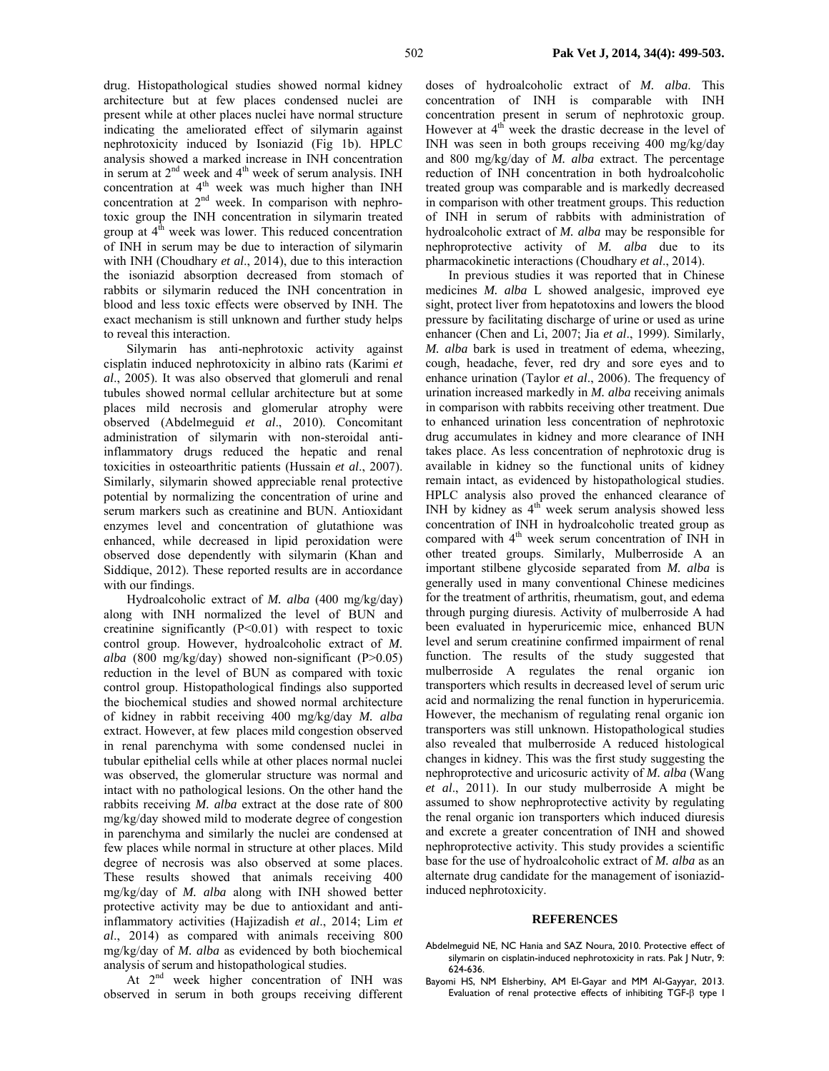drug. Histopathological studies showed normal kidney architecture but at few places condensed nuclei are present while at other places nuclei have normal structure indicating the ameliorated effect of silymarin against nephrotoxicity induced by Isoniazid (Fig 1b). HPLC analysis showed a marked increase in INH concentration in serum at  $2<sup>nd</sup>$  week and  $4<sup>th</sup>$  week of serum analysis. INH concentration at  $4<sup>th</sup>$  week was much higher than INH concentration at  $2<sup>nd</sup>$  week. In comparison with nephrotoxic group the INH concentration in silymarin treated group at  $4<sup>th</sup>$  week was lower. This reduced concentration of INH in serum may be due to interaction of silymarin with INH (Choudhary *et al*., 2014), due to this interaction the isoniazid absorption decreased from stomach of rabbits or silymarin reduced the INH concentration in blood and less toxic effects were observed by INH. The exact mechanism is still unknown and further study helps to reveal this interaction.

Silymarin has anti-nephrotoxic activity against cisplatin induced nephrotoxicity in albino rats (Karimi *et al*., 2005). It was also observed that glomeruli and renal tubules showed normal cellular architecture but at some places mild necrosis and glomerular atrophy were observed (Abdelmeguid *et al*., 2010). Concomitant administration of silymarin with non-steroidal antiinflammatory drugs reduced the hepatic and renal toxicities in osteoarthritic patients (Hussain *et al*., 2007). Similarly, silymarin showed appreciable renal protective potential by normalizing the concentration of urine and serum markers such as creatinine and BUN. Antioxidant enzymes level and concentration of glutathione was enhanced, while decreased in lipid peroxidation were observed dose dependently with silymarin (Khan and Siddique, 2012). These reported results are in accordance with our findings.

Hydroalcoholic extract of *M. alba* (400 mg/kg/day) along with INH normalized the level of BUN and creatinine significantly (P<0.01) with respect to toxic control group. However, hydroalcoholic extract of *M. alba* (800 mg/kg/day) showed non-significant (P>0.05) reduction in the level of BUN as compared with toxic control group. Histopathological findings also supported the biochemical studies and showed normal architecture of kidney in rabbit receiving 400 mg/kg/day *M. alba*  extract. However, at few places mild congestion observed in renal parenchyma with some condensed nuclei in tubular epithelial cells while at other places normal nuclei was observed, the glomerular structure was normal and intact with no pathological lesions. On the other hand the rabbits receiving *M. alba* extract at the dose rate of 800 mg/kg/day showed mild to moderate degree of congestion in parenchyma and similarly the nuclei are condensed at few places while normal in structure at other places. Mild degree of necrosis was also observed at some places. These results showed that animals receiving 400 mg/kg/day of *M. alba* along with INH showed better protective activity may be due to antioxidant and antiinflammatory activities (Hajizadish *et al*., 2014; Lim *et al*., 2014) as compared with animals receiving 800 mg/kg/day of *M. alba* as evidenced by both biochemical analysis of serum and histopathological studies.

At 2<sup>nd</sup> week higher concentration of INH was observed in serum in both groups receiving different

doses of hydroalcoholic extract of *M. alba*. This concentration of INH is comparable with INH concentration present in serum of nephrotoxic group. However at  $4<sup>th</sup>$  week the drastic decrease in the level of INH was seen in both groups receiving 400 mg/kg/day and 800 mg/kg/day of *M. alba* extract. The percentage reduction of INH concentration in both hydroalcoholic treated group was comparable and is markedly decreased in comparison with other treatment groups. This reduction of INH in serum of rabbits with administration of hydroalcoholic extract of *M. alba* may be responsible for nephroprotective activity of *M. alba* due to its pharmacokinetic interactions (Choudhary *et al*., 2014).

In previous studies it was reported that in Chinese medicines *M. alba* L showed analgesic, improved eye sight, protect liver from hepatotoxins and lowers the blood pressure by facilitating discharge of urine or used as urine enhancer (Chen and Li, 2007; Jia *et al*., 1999). Similarly, *M. alba* bark is used in treatment of edema, wheezing, cough, headache, fever, red dry and sore eyes and to enhance urination (Taylor *et al*., 2006). The frequency of urination increased markedly in *M. alba* receiving animals in comparison with rabbits receiving other treatment. Due to enhanced urination less concentration of nephrotoxic drug accumulates in kidney and more clearance of INH takes place. As less concentration of nephrotoxic drug is available in kidney so the functional units of kidney remain intact, as evidenced by histopathological studies. HPLC analysis also proved the enhanced clearance of INH by kidney as  $4<sup>th</sup>$  week serum analysis showed less concentration of INH in hydroalcoholic treated group as compared with 4<sup>th</sup> week serum concentration of INH in other treated groups. Similarly, Mulberroside A an important stilbene glycoside separated from *M. alba* is generally used in many conventional Chinese medicines for the treatment of arthritis, rheumatism, gout, and edema through purging diuresis. Activity of mulberroside A had been evaluated in hyperuricemic mice, enhanced BUN level and serum creatinine confirmed impairment of renal function. The results of the study suggested that mulberroside A regulates the renal organic ion transporters which results in decreased level of serum uric acid and normalizing the renal function in hyperuricemia. However, the mechanism of regulating renal organic ion transporters was still unknown. Histopathological studies also revealed that mulberroside A reduced histological changes in kidney. This was the first study suggesting the nephroprotective and uricosuric activity of *M. alba* (Wang *et al*., 2011). In our study mulberroside A might be assumed to show nephroprotective activity by regulating the renal organic ion transporters which induced diuresis and excrete a greater concentration of INH and showed nephroprotective activity. This study provides a scientific base for the use of hydroalcoholic extract of *M. alba* as an alternate drug candidate for the management of isoniazidinduced nephrotoxicity.

#### **REFERENCES**

- Abdelmeguid NE, NC Hania and SAZ Noura, 2010. Protective effect of silymarin on cisplatin-induced nephrotoxicity in rats. Pak J Nutr, 9: 624-636.
- Bayomi HS, NM Elsherbiny, AM El-Gayar and MM Al-Gayyar, 2013. Evaluation of renal protective effects of inhibiting TGF-β type I